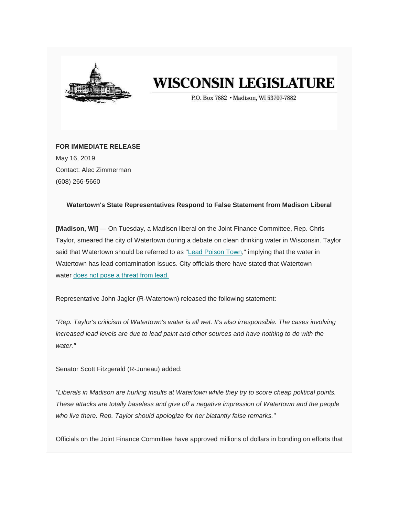

## **WISCONSIN LEGISLATURE**

P.O. Box 7882 . Madison. WI 53707-7882

**FOR IMMEDIATE RELEASE** May 16, 2019 Contact: Alec Zimmerman (608) 266-5660

## **Watertown's State Representatives Respond to False Statement from Madison Liberal**

**[Madison, WI]** — On Tuesday, a Madison liberal on the Joint Finance Committee, Rep. Chris Taylor, smeared the city of Watertown during a debate on clean drinking water in Wisconsin. Taylor said that Watertown should be referred to as ["Lead Poison Town,](https://wisconsin.us19.list-manage.com/track/click?u=d6af7ae29b3be71ca1f5bd1f7&id=9f411ef2c4&e=9e17a0a5be)" implying that the water in Watertown has lead contamination issues. City officials there have stated that Watertown water [does not pose a threat from lead.](https://wisconsin.us19.list-manage.com/track/click?u=d6af7ae29b3be71ca1f5bd1f7&id=253c834ee4&e=9e17a0a5be)

Representative John Jagler (R-Watertown) released the following statement:

*"Rep. Taylor's criticism of Watertown's water is all wet. It's also irresponsible. The cases involving increased lead levels are due to lead paint and other sources and have nothing to do with the water."*

Senator Scott Fitzgerald (R-Juneau) added:

*"Liberals in Madison are hurling insults at Watertown while they try to score cheap political points. These attacks are totally baseless and give off a negative impression of Watertown and the people who live there. Rep. Taylor should apologize for her blatantly false remarks."*

Officials on the Joint Finance Committee have approved millions of dollars in bonding on efforts that